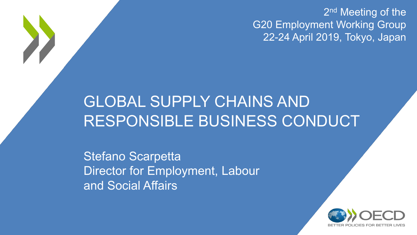2<sup>nd</sup> Meeting of the G20 Employment Working Group 22-24 April 2019, Tokyo, Japan

## GLOBAL SUPPLY CHAINS AND RESPONSIBLE BUSINESS CONDUCT

Stefano Scarpetta Director for Employment, Labour and Social Affairs

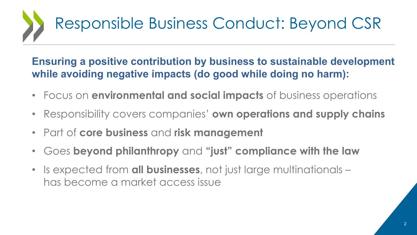# Responsible Business Conduct: Beyond CSR

#### Ensuring a positive contribution by business to sustainable development while avoiding negative impacts (do good while doing no harm):

- Focus on environmental and social impacts of business operations
- Responsibility covers companies' own operations and supply chains
- Part of core business and risk management
- Goes beyond philanthropy and "just" compliance with the law
- Is expected from all businesses, not just large multinationals has become a market access issue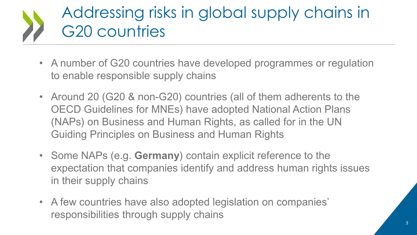## Addressing risks in global supply chains in G20 countries

- A number of G20 countries have developed programmes or regulation to enable responsible supply chains
- Around 20 (G20 & non-G20) countries (all of them adherents to the OECD Guidelines for MNEs) have adopted National Action Plans (NAPs) on Business and Human Rights, as called for in the UN Guiding Principles on Business and Human Rights
- Some NAPs (e.g. Germany) contain explicit reference to the expectation that companies identify and address human rights issues in their supply chains
- A few countries have also adopted legislation on companies' responsibilities through supply chains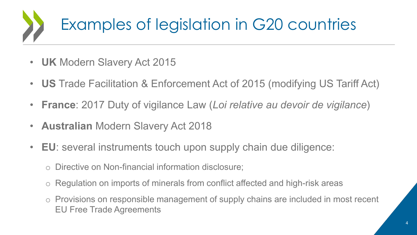# Examples of legislation in G20 countries

- UK Modern Slavery Act 2015
- US Trade Facilitation & Enforcement Act of 2015 (modifying US Tariff Act)
- France: 2017 Duty of vigilance Law (Loi relative au devoir de vigilance)
- Australian Modern Slavery Act 2018
- EU: several instruments touch upon supply chain due diligence:
	- o Directive on Non-financial information disclosure;
	- o Regulation on imports of minerals from conflict affected and high-risk areas
	- o Provisions on responsible management of supply chains are included in most recent EU Free Trade Agreements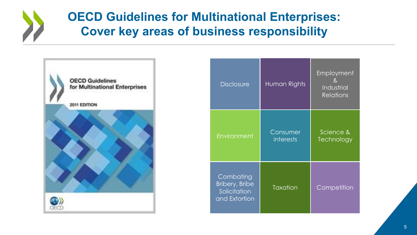### OECD Guidelines for Multinational Enterprises: Cover key areas of business responsibility



| <b>Disclosure</b>                                                   | Human Rights                 | Employment<br>8 <sub>1</sub><br>Industrial<br><b>Relations</b> |
|---------------------------------------------------------------------|------------------------------|----------------------------------------------------------------|
| Environment                                                         | Consumer<br><i>interests</i> | Science &<br>Technology                                        |
| Combating<br><b>Bribery, Bribe</b><br>Solicitation<br>and Extortion | <b>Taxation</b>              | Competition                                                    |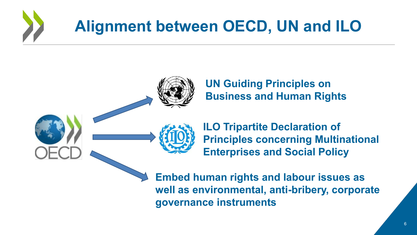# Alignment between OECD, UN and ILO



UN Guiding Principles on Business and Human Rights



ILO Tripartite Declaration of Principles concerning Multinational Enterprises and Social Policy

Embed human rights and labour issues as well as environmental, anti-bribery, corporate governance instruments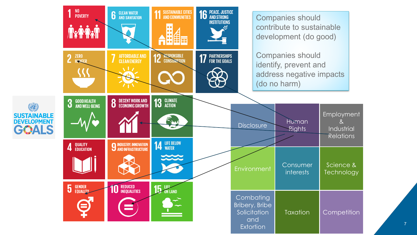

7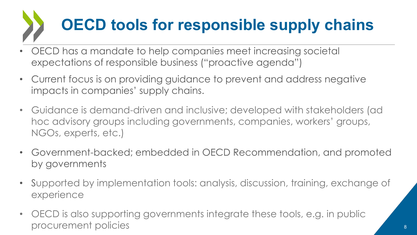# OECD tools for responsible supply chains

- OECD has a mandate to help companies meet increasing societal expectations of responsible business ("proactive agenda")
- Current focus is on providing guidance to prevent and address negative impacts in companies' supply chains.
- Guidance is demand-driven and inclusive; developed with stakeholders (ad hoc advisory groups including governments, companies, workers' groups, NGOs, experts, etc.)
- Government-backed; embedded in OECD Recommendation, and promoted by governments
- Supported by implementation tools: analysis, discussion, training, exchange of experience
- OECD is also supporting governments integrate these tools, e.g. in public procurement policies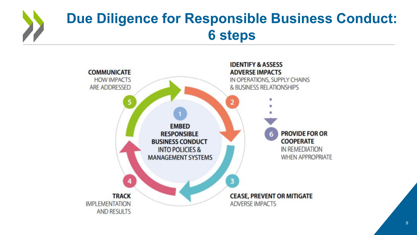## Due Diligence for Responsible Business Conduct: 6 steps

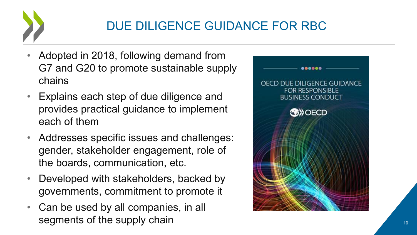

### DUE DILIGENCE GUIDANCE FOR RBC

- Adopted in 2018, following demand from G7 and G20 to promote sustainable supply chains
- Explains each step of due diligence and provides practical guidance to implement each of them
- Addresses specific issues and challenges: gender, stakeholder engagement, role of the boards, communication, etc.
- Developed with stakeholders, backed by governments, commitment to promote it
- Can be used by all companies, in all segments of the supply chain

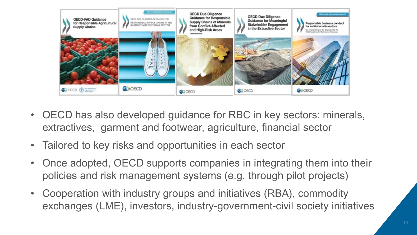

- OECD has also developed guidance for RBC in key sectors: minerals, extractives, garment and footwear, agriculture, financial sector
- Tailored to key risks and opportunities in each sector
- Once adopted, OECD supports companies in integrating them into their policies and risk management systems (e.g. through pilot projects)
- Cooperation with industry groups and initiatives (RBA), commodity exchanges (LME), investors, industry-government-civil society initiatives